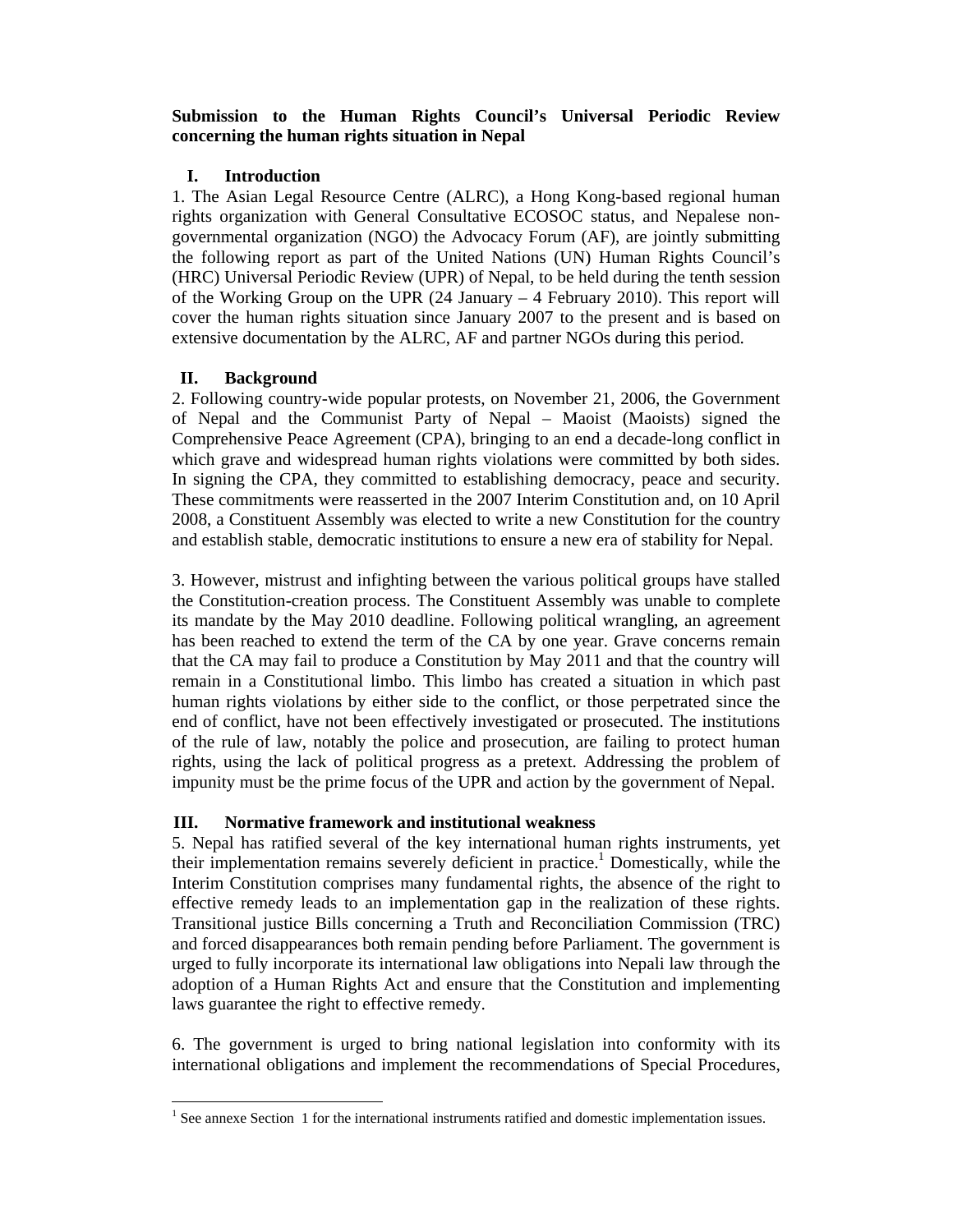# **Submission to the Human Rights Council's Universal Periodic Review concerning the human rights situation in Nepal**

### **I. Introduction**

1. The Asian Legal Resource Centre (ALRC), a Hong Kong-based regional human rights organization with General Consultative ECOSOC status, and Nepalese nongovernmental organization (NGO) the Advocacy Forum (AF), are jointly submitting the following report as part of the United Nations (UN) Human Rights Council's (HRC) Universal Periodic Review (UPR) of Nepal, to be held during the tenth session of the Working Group on the UPR (24 January – 4 February 2010). This report will cover the human rights situation since January 2007 to the present and is based on extensive documentation by the ALRC, AF and partner NGOs during this period.

## **II. Background**

2. Following country-wide popular protests, on November 21, 2006, the Government of Nepal and the Communist Party of Nepal – Maoist (Maoists) signed the Comprehensive Peace Agreement (CPA), bringing to an end a decade-long conflict in which grave and widespread human rights violations were committed by both sides. In signing the CPA, they committed to establishing democracy, peace and security. These commitments were reasserted in the 2007 Interim Constitution and, on 10 April 2008, a Constituent Assembly was elected to write a new Constitution for the country and establish stable, democratic institutions to ensure a new era of stability for Nepal.

3. However, mistrust and infighting between the various political groups have stalled the Constitution-creation process. The Constituent Assembly was unable to complete its mandate by the May 2010 deadline. Following political wrangling, an agreement has been reached to extend the term of the CA by one year. Grave concerns remain that the CA may fail to produce a Constitution by May 2011 and that the country will remain in a Constitutional limbo. This limbo has created a situation in which past human rights violations by either side to the conflict, or those perpetrated since the end of conflict, have not been effectively investigated or prosecuted. The institutions of the rule of law, notably the police and prosecution, are failing to protect human rights, using the lack of political progress as a pretext. Addressing the problem of impunity must be the prime focus of the UPR and action by the government of Nepal.

#### **III. Normative framework and institutional weakness**

5. Nepal has ratified several of the key international human rights instruments, yet their implementation remains severely deficient in practice.<sup>1</sup> Domestically, while the Interim Constitution comprises many fundamental rights, the absence of the right to effective remedy leads to an implementation gap in the realization of these rights. Transitional justice Bills concerning a Truth and Reconciliation Commission (TRC) and forced disappearances both remain pending before Parliament. The government is urged to fully incorporate its international law obligations into Nepali law through the adoption of a Human Rights Act and ensure that the Constitution and implementing laws guarantee the right to effective remedy.

6. The government is urged to bring national legislation into conformity with its international obligations and implement the recommendations of Special Procedures,

<sup>&</sup>lt;sup>1</sup> See annexe Section 1 for the international instruments ratified and domestic implementation issues.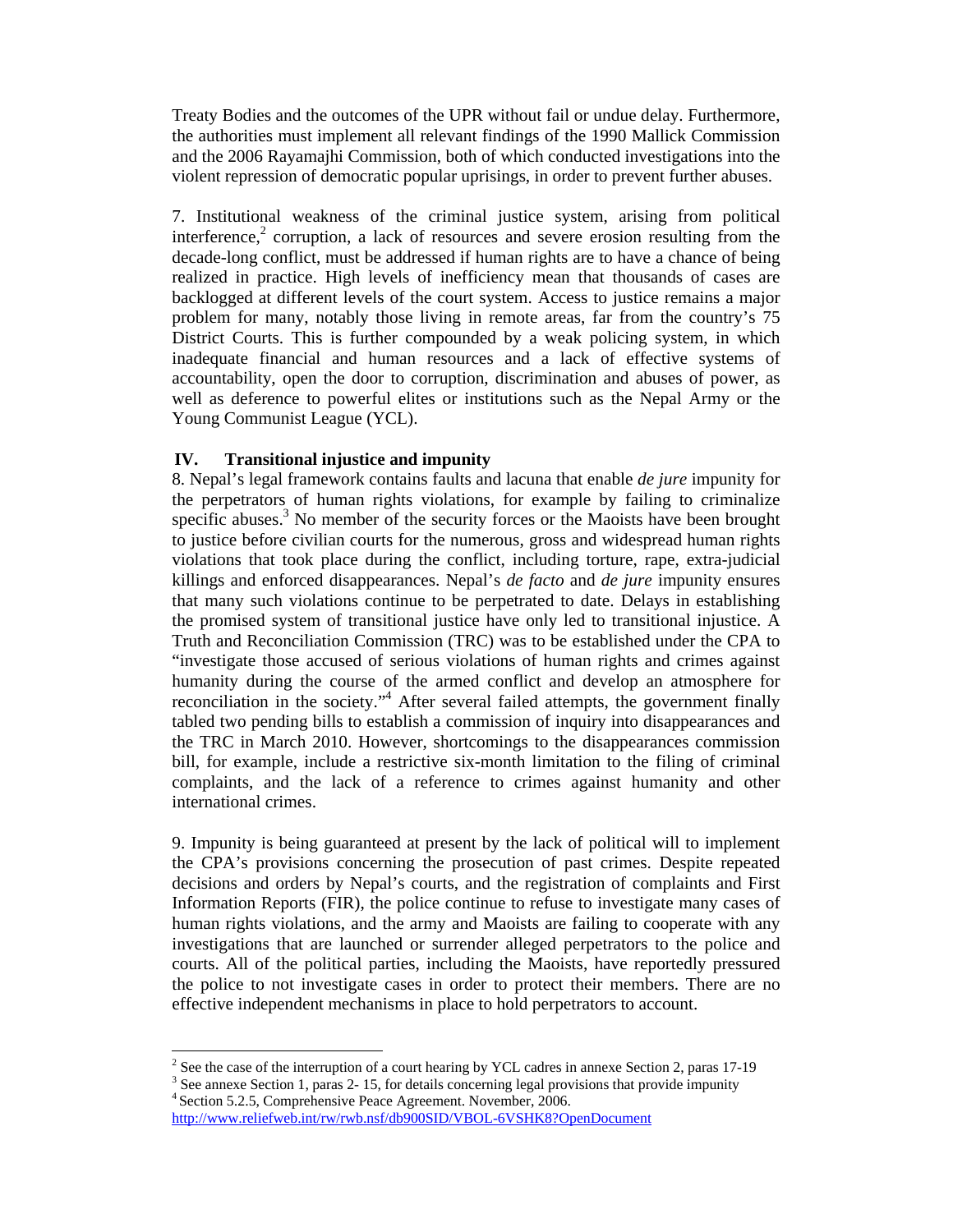Treaty Bodies and the outcomes of the UPR without fail or undue delay. Furthermore, the authorities must implement all relevant findings of the 1990 Mallick Commission and the 2006 Rayamajhi Commission, both of which conducted investigations into the violent repression of democratic popular uprisings, in order to prevent further abuses.

7. Institutional weakness of the criminal justice system, arising from political interference, $2$  corruption, a lack of resources and severe erosion resulting from the decade-long conflict, must be addressed if human rights are to have a chance of being realized in practice. High levels of inefficiency mean that thousands of cases are backlogged at different levels of the court system. Access to justice remains a major problem for many, notably those living in remote areas, far from the country's 75 District Courts. This is further compounded by a weak policing system, in which inadequate financial and human resources and a lack of effective systems of accountability, open the door to corruption, discrimination and abuses of power, as well as deference to powerful elites or institutions such as the Nepal Army or the Young Communist League (YCL).

#### **IV. Transitional injustice and impunity**

8. Nepal's legal framework contains faults and lacuna that enable *de jure* impunity for the perpetrators of human rights violations, for example by failing to criminalize specific abuses.<sup>3</sup> No member of the security forces or the Maoists have been brought to justice before civilian courts for the numerous, gross and widespread human rights violations that took place during the conflict, including torture, rape, extra-judicial killings and enforced disappearances. Nepal's *de facto* and *de jure* impunity ensures that many such violations continue to be perpetrated to date. Delays in establishing the promised system of transitional justice have only led to transitional injustice. A Truth and Reconciliation Commission (TRC) was to be established under the CPA to "investigate those accused of serious violations of human rights and crimes against humanity during the course of the armed conflict and develop an atmosphere for reconciliation in the society."<sup>4</sup> After several failed attempts, the government finally tabled two pending bills to establish a commission of inquiry into disappearances and the TRC in March 2010. However, shortcomings to the disappearances commission bill, for example, include a restrictive six-month limitation to the filing of criminal complaints, and the lack of a reference to crimes against humanity and other international crimes.

9. Impunity is being guaranteed at present by the lack of political will to implement the CPA's provisions concerning the prosecution of past crimes. Despite repeated decisions and orders by Nepal's courts, and the registration of complaints and First Information Reports (FIR), the police continue to refuse to investigate many cases of human rights violations, and the army and Maoists are failing to cooperate with any investigations that are launched or surrender alleged perpetrators to the police and courts. All of the political parties, including the Maoists, have reportedly pressured the police to not investigate cases in order to protect their members. There are no effective independent mechanisms in place to hold perpetrators to account.

<sup>&</sup>lt;sup>2</sup> See the case of the interruption of a court hearing by YCL cadres in annexe Section 2, paras 17-19

 $3$  See annexe Section 1, paras 2-15, for details concerning legal provisions that provide impunity 4 Section 5.2.5, Comprehensive Peace Agreement. November, 2006.

http://www.reliefweb.int/rw/rwb.nsf/db900SID/VBOL-6VSHK8?OpenDocument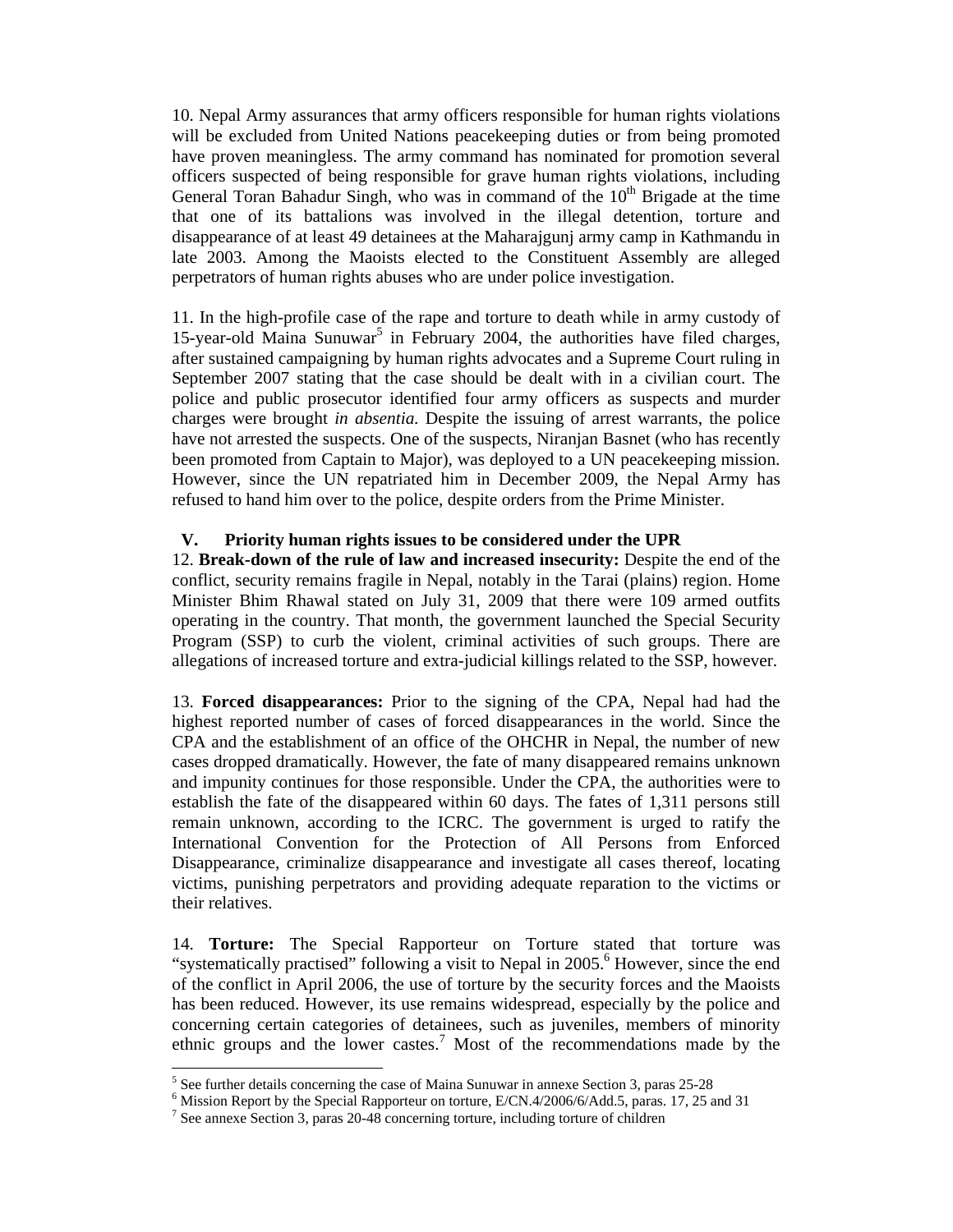10. Nepal Army assurances that army officers responsible for human rights violations will be excluded from United Nations peacekeeping duties or from being promoted have proven meaningless. The army command has nominated for promotion several officers suspected of being responsible for grave human rights violations, including General Toran Bahadur Singh, who was in command of the  $10<sup>th</sup>$  Brigade at the time that one of its battalions was involved in the illegal detention, torture and disappearance of at least 49 detainees at the Maharajgunj army camp in Kathmandu in late 2003. Among the Maoists elected to the Constituent Assembly are alleged perpetrators of human rights abuses who are under police investigation.

11. In the high-profile case of the rape and torture to death while in army custody of 15-year-old Maina Sunuwar<sup>5</sup> in February 2004, the authorities have filed charges, after sustained campaigning by human rights advocates and a Supreme Court ruling in September 2007 stating that the case should be dealt with in a civilian court. The police and public prosecutor identified four army officers as suspects and murder charges were brought *in absentia.* Despite the issuing of arrest warrants, the police have not arrested the suspects. One of the suspects, Niranjan Basnet (who has recently been promoted from Captain to Major), was deployed to a UN peacekeeping mission. However, since the UN repatriated him in December 2009, the Nepal Army has refused to hand him over to the police, despite orders from the Prime Minister.

#### **V. Priority human rights issues to be considered under the UPR**

12. **Break-down of the rule of law and increased insecurity:** Despite the end of the conflict, security remains fragile in Nepal, notably in the Tarai (plains) region. Home Minister Bhim Rhawal stated on July 31, 2009 that there were 109 armed outfits operating in the country. That month, the government launched the Special Security Program (SSP) to curb the violent, criminal activities of such groups. There are allegations of increased torture and extra-judicial killings related to the SSP, however.

13. **Forced disappearances:** Prior to the signing of the CPA, Nepal had had the highest reported number of cases of forced disappearances in the world. Since the CPA and the establishment of an office of the OHCHR in Nepal, the number of new cases dropped dramatically. However, the fate of many disappeared remains unknown and impunity continues for those responsible. Under the CPA, the authorities were to establish the fate of the disappeared within 60 days. The fates of 1,311 persons still remain unknown, according to the ICRC. The government is urged to ratify the International Convention for the Protection of All Persons from Enforced Disappearance, criminalize disappearance and investigate all cases thereof, locating victims, punishing perpetrators and providing adequate reparation to the victims or their relatives.

14. **Torture:** The Special Rapporteur on Torture stated that torture was "systematically practised" following a visit to Nepal in 2005.<sup>6</sup> However, since the end of the conflict in April 2006, the use of torture by the security forces and the Maoists has been reduced. However, its use remains widespread, especially by the police and concerning certain categories of detainees, such as juveniles, members of minority ethnic groups and the lower castes.<sup>7</sup> Most of the recommendations made by the

 $<sup>5</sup>$  See further details concerning the case of Maina Sunuwar in annexe Section 3, paras 25-28</sup>

<sup>&</sup>lt;sup>6</sup> Mission Report by the Special Rapporteur on torture, E/CN.4/2006/6/Add.5, paras. 17, 25 and 31

<sup>7</sup> See annexe Section 3, paras 20-48 concerning torture, including torture of children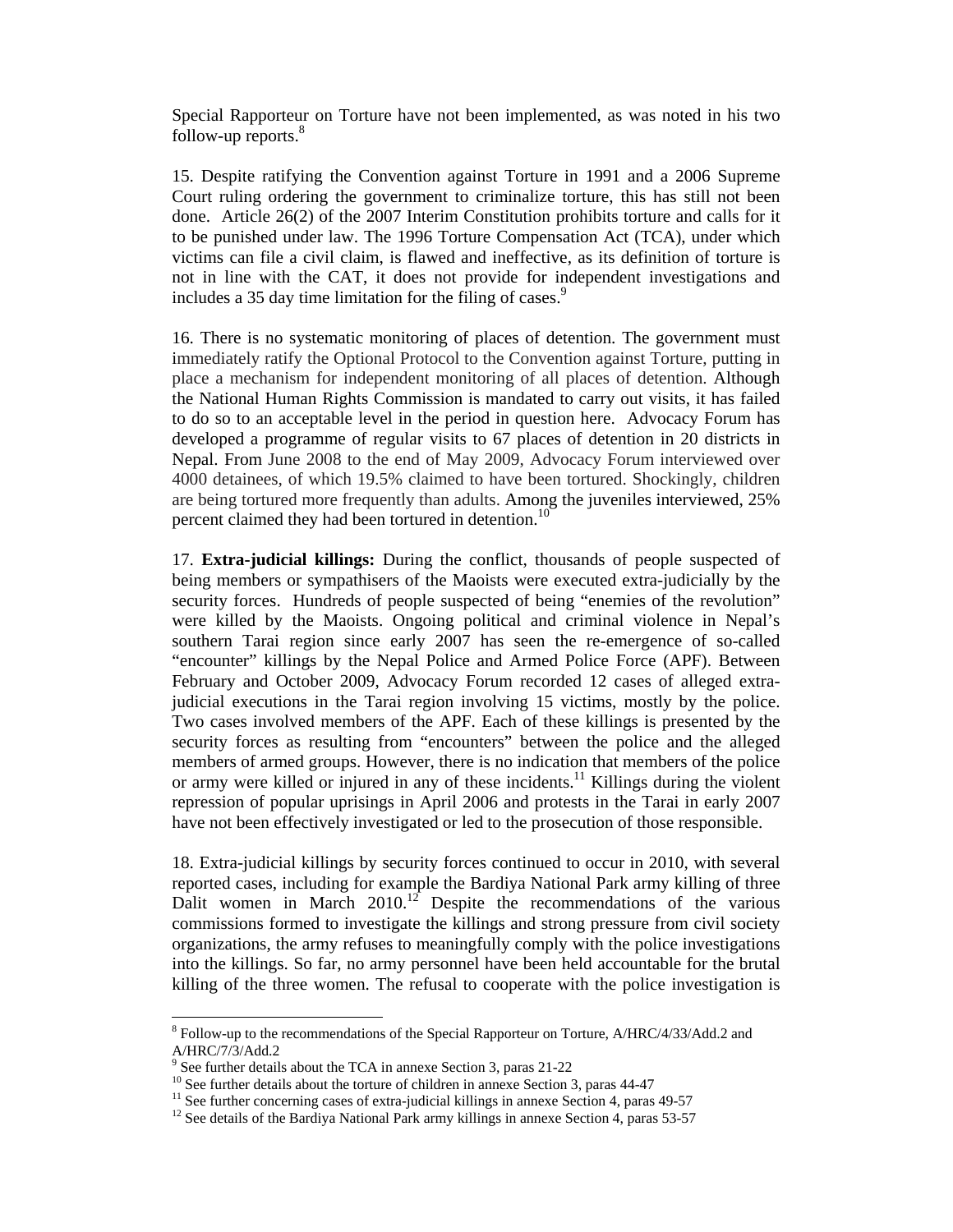Special Rapporteur on Torture have not been implemented, as was noted in his two follow-up reports.<sup>8</sup>

15. Despite ratifying the Convention against Torture in 1991 and a 2006 Supreme Court ruling ordering the government to criminalize torture, this has still not been done. Article 26(2) of the 2007 Interim Constitution prohibits torture and calls for it to be punished under law. The 1996 Torture Compensation Act (TCA), under which victims can file a civil claim, is flawed and ineffective, as its definition of torture is not in line with the CAT, it does not provide for independent investigations and includes a 35 day time limitation for the filing of cases. $9$ 

16. There is no systematic monitoring of places of detention. The government must immediately ratify the Optional Protocol to the Convention against Torture, putting in place a mechanism for independent monitoring of all places of detention. Although the National Human Rights Commission is mandated to carry out visits, it has failed to do so to an acceptable level in the period in question here. Advocacy Forum has developed a programme of regular visits to 67 places of detention in 20 districts in Nepal. From June 2008 to the end of May 2009, Advocacy Forum interviewed over 4000 detainees, of which 19.5% claimed to have been tortured. Shockingly, children are being tortured more frequently than adults. Among the juveniles interviewed, 25% percent claimed they had been tortured in detention.<sup>10</sup>

17. **Extra-judicial killings:** During the conflict, thousands of people suspected of being members or sympathisers of the Maoists were executed extra-judicially by the security forces. Hundreds of people suspected of being "enemies of the revolution" were killed by the Maoists. Ongoing political and criminal violence in Nepal's southern Tarai region since early 2007 has seen the re-emergence of so-called "encounter" killings by the Nepal Police and Armed Police Force (APF). Between February and October 2009, Advocacy Forum recorded 12 cases of alleged extrajudicial executions in the Tarai region involving 15 victims, mostly by the police. Two cases involved members of the APF. Each of these killings is presented by the security forces as resulting from "encounters" between the police and the alleged members of armed groups. However, there is no indication that members of the police or army were killed or injured in any of these incidents.<sup>11</sup> Killings during the violent repression of popular uprisings in April 2006 and protests in the Tarai in early 2007 have not been effectively investigated or led to the prosecution of those responsible.

18. Extra-judicial killings by security forces continued to occur in 2010, with several reported cases, including for example the Bardiya National Park army killing of three Dalit women in March 2010.<sup>12</sup> Despite the recommendations of the various commissions formed to investigate the killings and strong pressure from civil society organizations, the army refuses to meaningfully comply with the police investigations into the killings. So far, no army personnel have been held accountable for the brutal killing of the three women. The refusal to cooperate with the police investigation is

<sup>&</sup>lt;sup>8</sup> Follow-up to the recommendations of the Special Rapporteur on Torture, A/HRC/4/33/Add.2 and A/HRC/7/3/Add.2

<sup>&</sup>lt;sup>9</sup> See further details about the TCA in annexe Section 3, paras 21-22

<sup>&</sup>lt;sup>10</sup> See further details about the torture of children in annexe Section 3, paras 44-47

<sup>&</sup>lt;sup>11</sup> See further concerning cases of extra-judicial killings in annexe Section 4, paras 49-57

<sup>&</sup>lt;sup>12</sup> See details of the Bardiya National Park army killings in annexe Section 4, paras 53-57